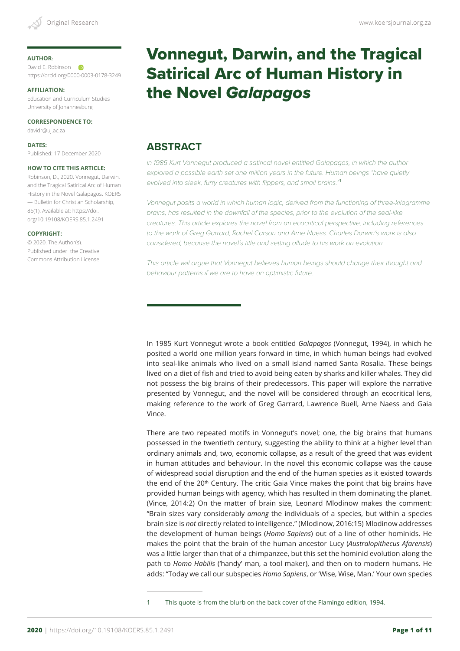### **AUTHOR**:

David E. Robinson https://orcid.org/0000-0003-0178-3249

### **AFFILIATION:**

Education and Curriculum Studies University of Johannesburg

**CORRESPONDENCE TO:**

davidr@uj.ac.za

**DATES:** Published: 17 December 2020

### **HOW TO CITE THIS ARTICLE:**

Robinson, D., 2020. Vonnegut, Darwin, and the Tragical Satirical Arc of Human History in the Novel Galapagos. KOERS — Bulletin for Christian Scholarship, 85(1). Available at: https://doi. org/10.19108/KOERS.85.1.2491

### **COPYRIGHT:**

© 2020. The Author(s). Published under the Creative Commons Attribution License.

# Vonnegut, Darwin, and the Tragical Satirical Arc of Human History in the Novel *Galapagos*

# **ABSTRACT**

*In 1985 Kurt Vonnegut produced a satirical novel entitled Galapagos, in which the author explored a possible earth set one million years in the future. Human beings "have quietly evolved into sleek, furry creatures with flippers, and small brains."*<sup>1</sup>

Vonnegut posits a world in which human logic, derived from the functioning of three-kilogramme *brains, has resulted in the downfall of the species, prior to the evolution of the seal-like creatures. This article explores the novel from an ecocritical perspective, including references to the work of Greg Garrard, Rachel Carson and Arne Naess. Charles Darwin's work is also considered, because the novel's title and setting allude to his work on evolution.*

This article will argue that Vonnegut believes human beings should change their thought and *behaviour patterns if we are to have an optimistic future.*

In 1985 Kurt Vonnegut wrote a book entitled *Galapagos* (Vonnegut, 1994), in which he posited a world one million years forward in time, in which human beings had evolved into seal-like animals who lived on a small island named Santa Rosalia. These beings lived on a diet of fish and tried to avoid being eaten by sharks and killer whales. They did not possess the big brains of their predecessors. This paper will explore the narrative presented by Vonnegut, and the novel will be considered through an ecocritical lens, making reference to the work of Greg Garrard, Lawrence Buell, Arne Naess and Gaia Vince.

There are two repeated motifs in Vonnegut's novel; one, the big brains that humans possessed in the twentieth century, suggesting the ability to think at a higher level than ordinary animals and, two, economic collapse, as a result of the greed that was evident in human attitudes and behaviour. In the novel this economic collapse was the cause of widespread social disruption and the end of the human species as it existed towards the end of the  $20<sup>th</sup>$  Century. The critic Gaia Vince makes the point that big brains have provided human beings with agency, which has resulted in them dominating the planet. (Vince, 2014:2) On the matter of brain size, Leonard Mlodinow makes the comment: "Brain sizes vary considerably *among* the individuals of a species, but within a species brain size is *not* directly related to intelligence." (Mlodinow, 2016:15) Mlodinow addresses the development of human beings (*Homo Sapiens*) out of a line of other hominids. He makes the point that the brain of the human ancestor Lucy (*Australopithecus Afarensis*) was a little larger than that of a chimpanzee, but this set the hominid evolution along the path to *Homo Habilis* ('handy' man, a tool maker), and then on to modern humans. He adds: "Today we call our subspecies *Homo Sapiens*, or 'Wise, Wise, Man.' Your own species

1 This quote is from the blurb on the back cover of the Flamingo edition, 1994.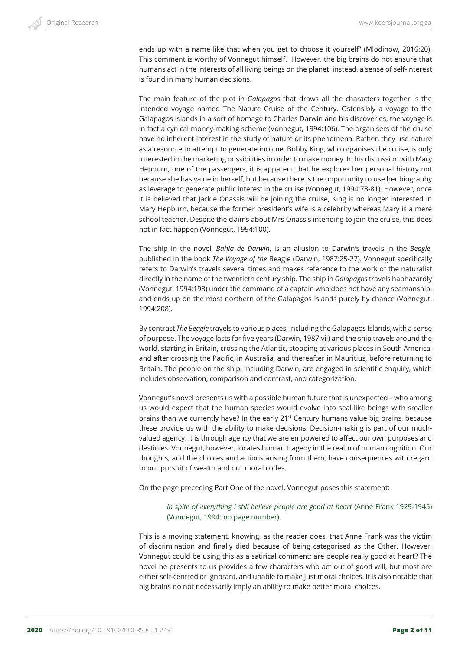ends up with a name like that when you get to choose it yourself" (Mlodinow, 2016:20). This comment is worthy of Vonnegut himself. However, the big brains do not ensure that humans act in the interests of all living beings on the planet; instead, a sense of self-interest is found in many human decisions.

The main feature of the plot in *Galapagos* that draws all the characters together is the intended voyage named The Nature Cruise of the Century. Ostensibly a voyage to the Galapagos Islands in a sort of homage to Charles Darwin and his discoveries, the voyage is in fact a cynical money-making scheme (Vonnegut, 1994:106). The organisers of the cruise have no inherent interest in the study of nature or its phenomena. Rather, they use nature as a resource to attempt to generate income. Bobby King, who organises the cruise, is only interested in the marketing possibilities in order to make money. In his discussion with Mary Hepburn, one of the passengers, it is apparent that he explores her personal history not because she has value in herself, but because there is the opportunity to use her biography as leverage to generate public interest in the cruise (Vonnegut, 1994:78-81). However, once it is believed that Jackie Onassis will be joining the cruise, King is no longer interested in Mary Hepburn, because the former president's wife is a celebrity whereas Mary is a mere school teacher. Despite the claims about Mrs Onassis intending to join the cruise, this does not in fact happen (Vonnegut, 1994:100).

The ship in the novel, *Bahia de Darwin*, is an allusion to Darwin's travels in the *Beagle*, published in the book *The Voyage of the* Beagle (Darwin, 1987:25-27). Vonnegut specifically refers to Darwin's travels several times and makes reference to the work of the naturalist directly in the name of the twentieth century ship. The ship in *Galapagos* travels haphazardly (Vonnegut, 1994:198) under the command of a captain who does not have any seamanship, and ends up on the most northern of the Galapagos Islands purely by chance (Vonnegut, 1994:208).

By contrast *The Beagle* travels to various places, including the Galapagos Islands, with a sense of purpose. The voyage lasts for five years (Darwin, 1987:vii) and the ship travels around the world, starting in Britain, crossing the Atlantic, stopping at various places in South America, and after crossing the Pacific, in Australia, and thereafter in Mauritius, before returning to Britain. The people on the ship, including Darwin, are engaged in scientific enquiry, which includes observation, comparison and contrast, and categorization.

Vonnegut's novel presents us with a possible human future that is unexpected – who among us would expect that the human species would evolve into seal-like beings with smaller brains than we currently have? In the early 21st Century humans value big brains, because these provide us with the ability to make decisions. Decision-making is part of our muchvalued agency. It is through agency that we are empowered to affect our own purposes and destinies. Vonnegut, however, locates human tragedy in the realm of human cognition. Our thoughts, and the choices and actions arising from them, have consequences with regard to our pursuit of wealth and our moral codes.

On the page preceding Part One of the novel, Vonnegut poses this statement:

### *In spite of everything I still believe people are good at heart* (Anne Frank 1929-1945) (Vonnegut, 1994: no page number).

This is a moving statement, knowing, as the reader does, that Anne Frank was the victim of discrimination and finally died because of being categorised as the Other. However, Vonnegut could be using this as a satirical comment; are people really good at heart? The novel he presents to us provides a few characters who act out of good will, but most are either self-centred or ignorant, and unable to make just moral choices. It is also notable that big brains do not necessarily imply an ability to make better moral choices.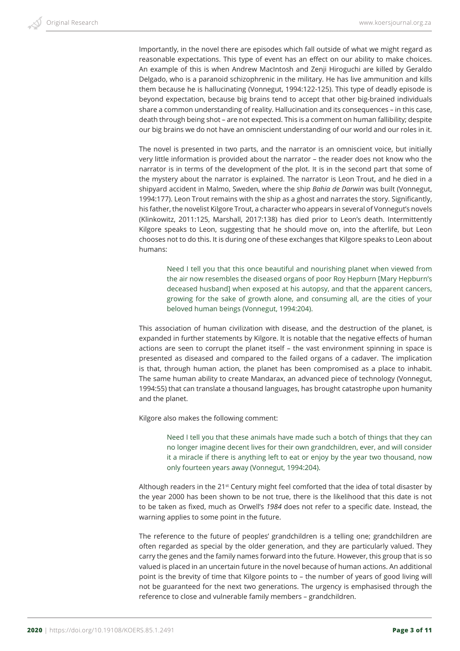Importantly, in the novel there are episodes which fall outside of what we might regard as reasonable expectations. This type of event has an effect on our ability to make choices. An example of this is when Andrew MacIntosh and Zenji Hiroguchi are killed by Geraldo Delgado, who is a paranoid schizophrenic in the military. He has live ammunition and kills them because he is hallucinating (Vonnegut, 1994:122-125). This type of deadly episode is beyond expectation, because big brains tend to accept that other big-brained individuals share a common understanding of reality. Hallucination and its consequences – in this case, death through being shot – are not expected. This is a comment on human fallibility; despite our big brains we do not have an omniscient understanding of our world and our roles in it.

The novel is presented in two parts, and the narrator is an omniscient voice, but initially very little information is provided about the narrator – the reader does not know who the narrator is in terms of the development of the plot. It is in the second part that some of the mystery about the narrator is explained. The narrator is Leon Trout, and he died in a shipyard accident in Malmo, Sweden, where the ship *Bahia de Darwin* was built (Vonnegut, 1994:177). Leon Trout remains with the ship as a ghost and narrates the story. Significantly, his father, the novelist Kilgore Trout, a character who appears in several of Vonnegut's novels (Klinkowitz, 2011:125, Marshall, 2017:138) has died prior to Leon's death. Intermittently Kilgore speaks to Leon, suggesting that he should move on, into the afterlife, but Leon chooses not to do this. It is during one of these exchanges that Kilgore speaks to Leon about humans:

Need I tell you that this once beautiful and nourishing planet when viewed from the air now resembles the diseased organs of poor Roy Hepburn [Mary Hepburn's deceased husband] when exposed at his autopsy, and that the apparent cancers, growing for the sake of growth alone, and consuming all, are the cities of your beloved human beings (Vonnegut, 1994:204).

This association of human civilization with disease, and the destruction of the planet, is expanded in further statements by Kilgore. It is notable that the negative effects of human actions are seen to corrupt the planet itself – the vast environment spinning in space is presented as diseased and compared to the failed organs of a cadaver. The implication is that, through human action, the planet has been compromised as a place to inhabit. The same human ability to create Mandarax, an advanced piece of technology (Vonnegut, 1994:55) that can translate a thousand languages, has brought catastrophe upon humanity and the planet.

Kilgore also makes the following comment:

Need I tell you that these animals have made such a botch of things that they can no longer imagine decent lives for their own grandchildren, ever, and will consider it a miracle if there is anything left to eat or enjoy by the year two thousand, now only fourteen years away (Vonnegut, 1994:204).

Although readers in the 21<sup>st</sup> Century might feel comforted that the idea of total disaster by the year 2000 has been shown to be not true, there is the likelihood that this date is not to be taken as fixed, much as Orwell's *1984* does not refer to a specific date. Instead, the warning applies to some point in the future.

The reference to the future of peoples' grandchildren is a telling one; grandchildren are often regarded as special by the older generation, and they are particularly valued. They carry the genes and the family names forward into the future. However, this group that is so valued is placed in an uncertain future in the novel because of human actions. An additional point is the brevity of time that Kilgore points to – the number of years of good living will not be guaranteed for the next two generations. The urgency is emphasised through the reference to close and vulnerable family members – grandchildren.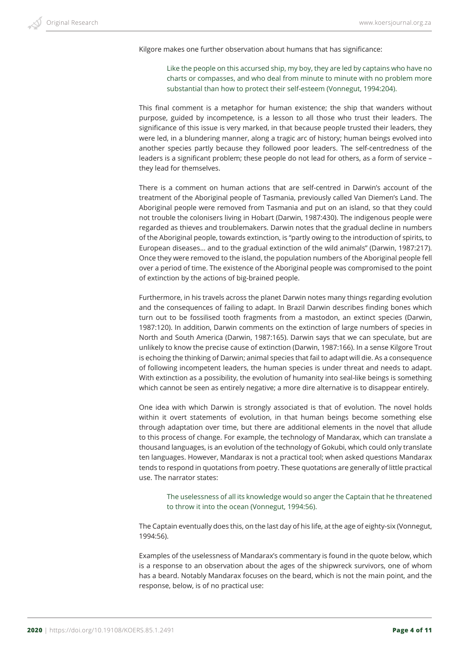Kilgore makes one further observation about humans that has significance:

Like the people on this accursed ship, my boy, they are led by captains who have no charts or compasses, and who deal from minute to minute with no problem more substantial than how to protect their self-esteem (Vonnegut, 1994:204).

This final comment is a metaphor for human existence; the ship that wanders without purpose, guided by incompetence, is a lesson to all those who trust their leaders. The significance of this issue is very marked, in that because people trusted their leaders, they were led, in a blundering manner, along a tragic arc of history; human beings evolved into another species partly because they followed poor leaders. The self-centredness of the leaders is a significant problem; these people do not lead for others, as a form of service – they lead for themselves.

There is a comment on human actions that are self-centred in Darwin's account of the treatment of the Aboriginal people of Tasmania, previously called Van Diemen's Land. The Aboriginal people were removed from Tasmania and put on an island, so that they could not trouble the colonisers living in Hobart (Darwin, 1987:430). The indigenous people were regarded as thieves and troublemakers. Darwin notes that the gradual decline in numbers of the Aboriginal people, towards extinction, is "partly owing to the introduction of spirits, to European diseases… and to the gradual extinction of the wild animals" (Darwin, 1987:217). Once they were removed to the island, the population numbers of the Aboriginal people fell over a period of time. The existence of the Aboriginal people was compromised to the point of extinction by the actions of big-brained people.

Furthermore, in his travels across the planet Darwin notes many things regarding evolution and the consequences of failing to adapt. In Brazil Darwin describes finding bones which turn out to be fossilised tooth fragments from a mastodon, an extinct species (Darwin, 1987:120). In addition, Darwin comments on the extinction of large numbers of species in North and South America (Darwin, 1987:165). Darwin says that we can speculate, but are unlikely to know the precise cause of extinction (Darwin, 1987:166). In a sense Kilgore Trout is echoing the thinking of Darwin; animal species that fail to adapt will die. As a consequence of following incompetent leaders, the human species is under threat and needs to adapt. With extinction as a possibility, the evolution of humanity into seal-like beings is something which cannot be seen as entirely negative; a more dire alternative is to disappear entirely.

One idea with which Darwin is strongly associated is that of evolution. The novel holds within it overt statements of evolution, in that human beings become something else through adaptation over time, but there are additional elements in the novel that allude to this process of change. For example, the technology of Mandarax, which can translate a thousand languages, is an evolution of the technology of Gokubi, which could only translate ten languages. However, Mandarax is not a practical tool; when asked questions Mandarax tends to respond in quotations from poetry. These quotations are generally of little practical use. The narrator states:

The uselessness of all its knowledge would so anger the Captain that he threatened to throw it into the ocean (Vonnegut, 1994:56).

The Captain eventually does this, on the last day of his life, at the age of eighty-six (Vonnegut, 1994:56).

Examples of the uselessness of Mandarax's commentary is found in the quote below, which is a response to an observation about the ages of the shipwreck survivors, one of whom has a beard. Notably Mandarax focuses on the beard, which is not the main point, and the response, below, is of no practical use: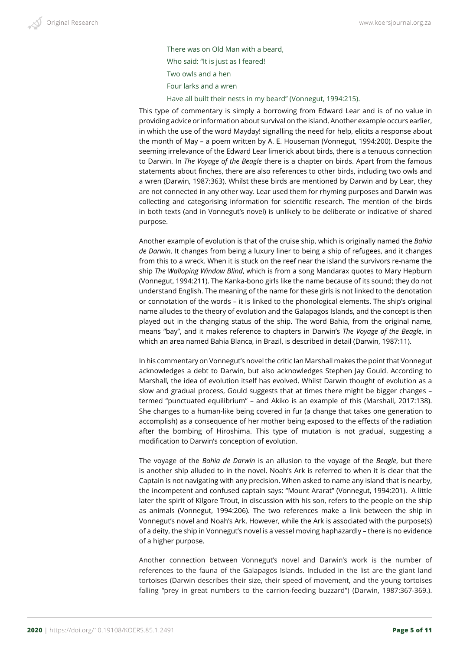There was on Old Man with a beard, Who said: "It is just as I feared! Two owls and a hen Four larks and a wren

Have all built their nests in my beard" (Vonnegut, 1994:215).

This type of commentary is simply a borrowing from Edward Lear and is of no value in providing advice or information about survival on the island. Another example occurs earlier, in which the use of the word Mayday! signalling the need for help, elicits a response about the month of May – a poem written by A. E. Houseman (Vonnegut, 1994:200). Despite the seeming irrelevance of the Edward Lear limerick about birds, there is a tenuous connection to Darwin. In *The Voyage of the Beagle* there is a chapter on birds. Apart from the famous statements about finches, there are also references to other birds, including two owls and a wren (Darwin, 1987:363). Whilst these birds are mentioned by Darwin and by Lear, they are not connected in any other way. Lear used them for rhyming purposes and Darwin was collecting and categorising information for scientific research. The mention of the birds in both texts (and in Vonnegut's novel) is unlikely to be deliberate or indicative of shared purpose.

Another example of evolution is that of the cruise ship, which is originally named the *Bahia de Darwin*. It changes from being a luxury liner to being a ship of refugees, and it changes from this to a wreck. When it is stuck on the reef near the island the survivors re-name the ship *The Walloping Window Blind*, which is from a song Mandarax quotes to Mary Hepburn (Vonnegut, 1994:211). The Kanka-bono girls like the name because of its sound; they do not understand English. The meaning of the name for these girls is not linked to the denotation or connotation of the words – it is linked to the phonological elements. The ship's original name alludes to the theory of evolution and the Galapagos Islands, and the concept is then played out in the changing status of the ship. The word Bahia, from the original name, means "bay", and it makes reference to chapters in Darwin's *The Voyage of the Beagle*, in which an area named Bahia Blanca, in Brazil, is described in detail (Darwin, 1987:11).

In his commentary on Vonnegut's novel the critic Ian Marshall makes the point that Vonnegut acknowledges a debt to Darwin, but also acknowledges Stephen Jay Gould. According to Marshall, the idea of evolution itself has evolved. Whilst Darwin thought of evolution as a slow and gradual process, Gould suggests that at times there might be bigger changes – termed "punctuated equilibrium" – and Akiko is an example of this (Marshall, 2017:138). She changes to a human-like being covered in fur (a change that takes one generation to accomplish) as a consequence of her mother being exposed to the effects of the radiation after the bombing of Hiroshima. This type of mutation is not gradual, suggesting a modification to Darwin's conception of evolution.

The voyage of the *Bahia de Darwin* is an allusion to the voyage of the *Beagle*, but there is another ship alluded to in the novel. Noah's Ark is referred to when it is clear that the Captain is not navigating with any precision. When asked to name any island that is nearby, the incompetent and confused captain says: "Mount Ararat" (Vonnegut, 1994:201). A little later the spirit of Kilgore Trout, in discussion with his son, refers to the people on the ship as animals (Vonnegut, 1994:206). The two references make a link between the ship in Vonnegut's novel and Noah's Ark. However, while the Ark is associated with the purpose(s) of a deity, the ship in Vonnegut's novel is a vessel moving haphazardly – there is no evidence of a higher purpose.

Another connection between Vonnegut's novel and Darwin's work is the number of references to the fauna of the Galapagos Islands. Included in the list are the giant land tortoises (Darwin describes their size, their speed of movement, and the young tortoises falling "prey in great numbers to the carrion-feeding buzzard") (Darwin, 1987:367-369.).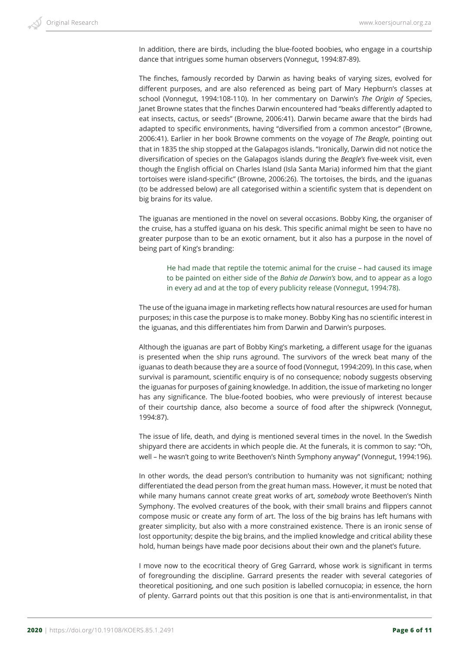In addition, there are birds, including the blue-footed boobies, who engage in a courtship dance that intrigues some human observers (Vonnegut, 1994:87-89).

The finches, famously recorded by Darwin as having beaks of varying sizes, evolved for different purposes, and are also referenced as being part of Mary Hepburn's classes at school (Vonnegut, 1994:108-110). In her commentary on Darwin's *The Origin of* Species, Janet Browne states that the finches Darwin encountered had "beaks differently adapted to eat insects, cactus, or seeds" (Browne, 2006:41). Darwin became aware that the birds had adapted to specific environments, having "diversified from a common ancestor" (Browne, 2006:41). Earlier in her book Browne comments on the voyage of *The Beagle*, pointing out that in 1835 the ship stopped at the Galapagos islands. "Ironically, Darwin did not notice the diversification of species on the Galapagos islands during the *Beagle's* five-week visit, even though the English official on Charles Island (Isla Santa Maria) informed him that the giant tortoises were island-specific" (Browne, 2006:26). The tortoises, the birds, and the iguanas (to be addressed below) are all categorised within a scientific system that is dependent on big brains for its value.

The iguanas are mentioned in the novel on several occasions. Bobby King, the organiser of the cruise, has a stuffed iguana on his desk. This specific animal might be seen to have no greater purpose than to be an exotic ornament, but it also has a purpose in the novel of being part of King's branding:

He had made that reptile the totemic animal for the cruise – had caused its image to be painted on either side of the *Bahia de Darwin's* bow, and to appear as a logo in every ad and at the top of every publicity release (Vonnegut, 1994:78).

The use of the iguana image in marketing reflects how natural resources are used for human purposes; in this case the purpose is to make money. Bobby King has no scientific interest in the iguanas, and this differentiates him from Darwin and Darwin's purposes.

Although the iguanas are part of Bobby King's marketing, a different usage for the iguanas is presented when the ship runs aground. The survivors of the wreck beat many of the iguanas to death because they are a source of food (Vonnegut, 1994:209). In this case, when survival is paramount, scientific enquiry is of no consequence; nobody suggests observing the iguanas for purposes of gaining knowledge. In addition, the issue of marketing no longer has any significance. The blue-footed boobies, who were previously of interest because of their courtship dance, also become a source of food after the shipwreck (Vonnegut, 1994:87).

The issue of life, death, and dying is mentioned several times in the novel. In the Swedish shipyard there are accidents in which people die. At the funerals, it is common to say: "Oh, well – he wasn't going to write Beethoven's Ninth Symphony anyway" (Vonnegut, 1994:196).

In other words, the dead person's contribution to humanity was not significant; nothing differentiated the dead person from the great human mass. However, it must be noted that while many humans cannot create great works of art, *somebody* wrote Beethoven's Ninth Symphony. The evolved creatures of the book, with their small brains and flippers cannot compose music or create any form of art. The loss of the big brains has left humans with greater simplicity, but also with a more constrained existence. There is an ironic sense of lost opportunity; despite the big brains, and the implied knowledge and critical ability these hold, human beings have made poor decisions about their own and the planet's future.

I move now to the ecocritical theory of Greg Garrard, whose work is significant in terms of foregrounding the discipline. Garrard presents the reader with several categories of theoretical positioning, and one such position is labelled cornucopia; in essence, the horn of plenty. Garrard points out that this position is one that is anti-environmentalist, in that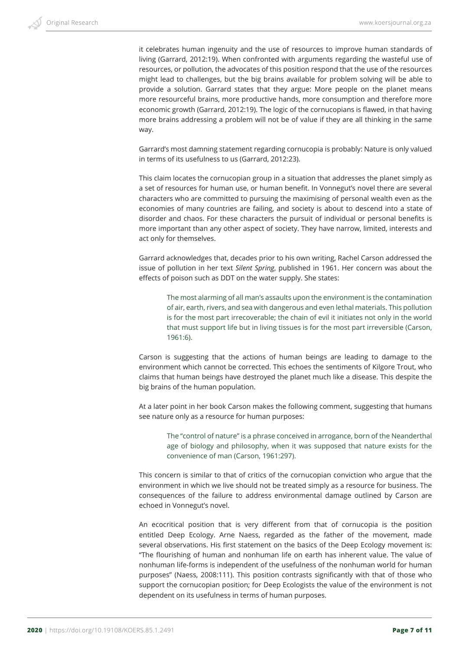it celebrates human ingenuity and the use of resources to improve human standards of living (Garrard, 2012:19). When confronted with arguments regarding the wasteful use of resources, or pollution, the advocates of this position respond that the use of the resources might lead to challenges, but the big brains available for problem solving will be able to provide a solution. Garrard states that they argue: More people on the planet means more resourceful brains, more productive hands, more consumption and therefore more economic growth (Garrard, 2012:19). The logic of the cornucopians is flawed, in that having more brains addressing a problem will not be of value if they are all thinking in the same way.

Garrard's most damning statement regarding cornucopia is probably: Nature is only valued in terms of its usefulness to us (Garrard, 2012:23).

This claim locates the cornucopian group in a situation that addresses the planet simply as a set of resources for human use, or human benefit. In Vonnegut's novel there are several characters who are committed to pursuing the maximising of personal wealth even as the economies of many countries are failing, and society is about to descend into a state of disorder and chaos. For these characters the pursuit of individual or personal benefits is more important than any other aspect of society. They have narrow, limited, interests and act only for themselves.

Garrard acknowledges that, decades prior to his own writing, Rachel Carson addressed the issue of pollution in her text *Silent Spring*, published in 1961. Her concern was about the effects of poison such as DDT on the water supply. She states:

The most alarming of all man's assaults upon the environment is the contamination of air, earth, rivers, and sea with dangerous and even lethal materials. This pollution is for the most part irrecoverable; the chain of evil it initiates not only in the world that must support life but in living tissues is for the most part irreversible (Carson, 1961:6).

Carson is suggesting that the actions of human beings are leading to damage to the environment which cannot be corrected. This echoes the sentiments of Kilgore Trout, who claims that human beings have destroyed the planet much like a disease. This despite the big brains of the human population.

At a later point in her book Carson makes the following comment, suggesting that humans see nature only as a resource for human purposes:

The "control of nature" is a phrase conceived in arrogance, born of the Neanderthal age of biology and philosophy, when it was supposed that nature exists for the convenience of man (Carson, 1961:297).

This concern is similar to that of critics of the cornucopian conviction who argue that the environment in which we live should not be treated simply as a resource for business. The consequences of the failure to address environmental damage outlined by Carson are echoed in Vonnegut's novel.

An ecocritical position that is very different from that of cornucopia is the position entitled Deep Ecology. Arne Naess, regarded as the father of the movement, made several observations. His first statement on the basics of the Deep Ecology movement is: "The flourishing of human and nonhuman life on earth has inherent value. The value of nonhuman life-forms is independent of the usefulness of the nonhuman world for human purposes" (Naess, 2008:111). This position contrasts significantly with that of those who support the cornucopian position; for Deep Ecologists the value of the environment is not dependent on its usefulness in terms of human purposes.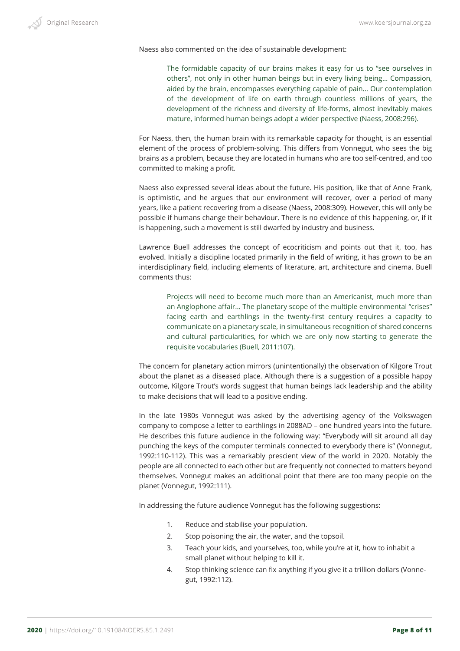Naess also commented on the idea of sustainable development:

The formidable capacity of our brains makes it easy for us to "see ourselves in others", not only in other human beings but in every living being… Compassion, aided by the brain, encompasses everything capable of pain… Our contemplation of the development of life on earth through countless millions of years, the development of the richness and diversity of life-forms, almost inevitably makes mature, informed human beings adopt a wider perspective (Naess, 2008:296).

For Naess, then, the human brain with its remarkable capacity for thought, is an essential element of the process of problem-solving. This differs from Vonnegut, who sees the big brains as a problem, because they are located in humans who are too self-centred, and too committed to making a profit.

Naess also expressed several ideas about the future. His position, like that of Anne Frank, is optimistic, and he argues that our environment will recover, over a period of many years, like a patient recovering from a disease (Naess, 2008:309). However, this will only be possible if humans change their behaviour. There is no evidence of this happening, or, if it is happening, such a movement is still dwarfed by industry and business.

Lawrence Buell addresses the concept of ecocriticism and points out that it, too, has evolved. Initially a discipline located primarily in the field of writing, it has grown to be an interdisciplinary field, including elements of literature, art, architecture and cinema. Buell comments thus:

Projects will need to become much more than an Americanist, much more than an Anglophone affair… The planetary scope of the multiple environmental "crises" facing earth and earthlings in the twenty-first century requires a capacity to communicate on a planetary scale, in simultaneous recognition of shared concerns and cultural particularities, for which we are only now starting to generate the requisite vocabularies (Buell, 2011:107).

The concern for planetary action mirrors (unintentionally) the observation of Kilgore Trout about the planet as a diseased place. Although there is a suggestion of a possible happy outcome, Kilgore Trout's words suggest that human beings lack leadership and the ability to make decisions that will lead to a positive ending.

In the late 1980s Vonnegut was asked by the advertising agency of the Volkswagen company to compose a letter to earthlings in 2088AD – one hundred years into the future. He describes this future audience in the following way: "Everybody will sit around all day punching the keys of the computer terminals connected to everybody there is" (Vonnegut, 1992:110-112). This was a remarkably prescient view of the world in 2020. Notably the people are all connected to each other but are frequently not connected to matters beyond themselves. Vonnegut makes an additional point that there are too many people on the planet (Vonnegut, 1992:111).

In addressing the future audience Vonnegut has the following suggestions:

- 1. Reduce and stabilise your population.
- 2. Stop poisoning the air, the water, and the topsoil.
- 3. Teach your kids, and yourselves, too, while you're at it, how to inhabit a small planet without helping to kill it.
- 4. Stop thinking science can fix anything if you give it a trillion dollars (Vonnegut, 1992:112).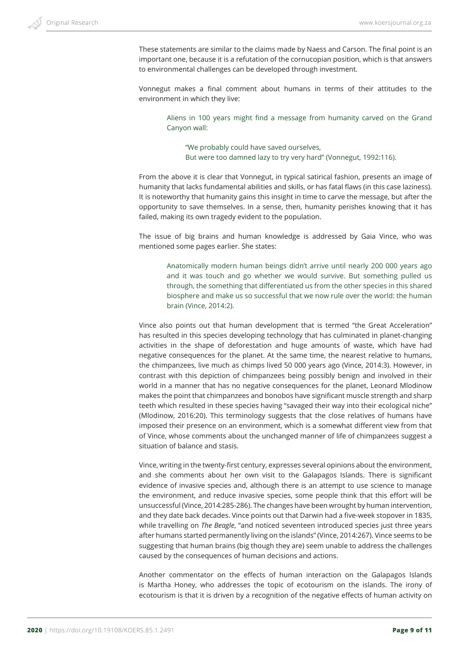

These statements are similar to the claims made by Naess and Carson. The final point is an important one, because it is a refutation of the cornucopian position, which is that answers to environmental challenges can be developed through investment.

Vonnegut makes a final comment about humans in terms of their attitudes to the environment in which they live:

Aliens in 100 years might find a message from humanity carved on the Grand Canyon wall:

"We probably could have saved ourselves, But were too damned lazy to try very hard" (Vonnegut, 1992:116).

From the above it is clear that Vonnegut, in typical satirical fashion, presents an image of humanity that lacks fundamental abilities and skills, or has fatal flaws (in this case laziness). It is noteworthy that humanity gains this insight in time to carve the message, but after the opportunity to save themselves. In a sense, then, humanity perishes knowing that it has failed, making its own tragedy evident to the population.

The issue of big brains and human knowledge is addressed by Gaia Vince, who was mentioned some pages earlier. She states:

Anatomically modern human beings didn't arrive until nearly 200 000 years ago and it was touch and go whether we would survive. But something pulled us through, the something that differentiated us from the other species in this shared biosphere and make us so successful that we now rule over the world: the human brain (Vince, 2014:2).

Vince also points out that human development that is termed "the Great Acceleration" has resulted in this species developing technology that has culminated in planet-changing activities in the shape of deforestation and huge amounts of waste, which have had negative consequences for the planet. At the same time, the nearest relative to humans, the chimpanzees, live much as chimps lived 50 000 years ago (Vince, 2014:3). However, in contrast with this depiction of chimpanzees being possibly benign and involved in their world in a manner that has no negative consequences for the planet, Leonard Mlodinow makes the point that chimpanzees and bonobos have significant muscle strength and sharp teeth which resulted in these species having "savaged their way into their ecological niche" (Mlodinow, 2016:20). This terminology suggests that the close relatives of humans have imposed their presence on an environment, which is a somewhat different view from that of Vince, whose comments about the unchanged manner of life of chimpanzees suggest a situation of balance and stasis.

Vince, writing in the twenty-first century, expresses several opinions about the environment, and she comments about her own visit to the Galapagos Islands. There is significant evidence of invasive species and, although there is an attempt to use science to manage the environment, and reduce invasive species, some people think that this effort will be unsuccessful (Vince, 2014:285-286). The changes have been wrought by human intervention, and they date back decades. Vince points out that Darwin had a five-week stopover in 1835, while travelling on *The Beagle*, "and noticed seventeen introduced species just three years after humans started permanently living on the islands" (Vince, 2014:267). Vince seems to be suggesting that human brains (big though they are) seem unable to address the challenges caused by the consequences of human decisions and actions.

Another commentator on the effects of human interaction on the Galapagos Islands is Martha Honey, who addresses the topic of ecotourism on the islands. The irony of ecotourism is that it is driven by a recognition of the negative effects of human activity on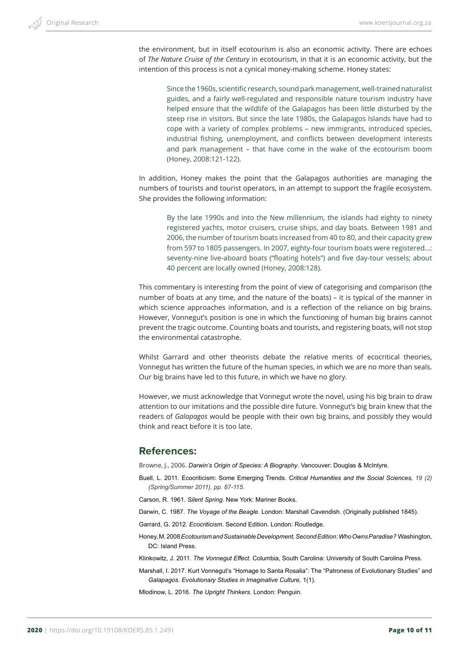the environment, but in itself ecotourism is also an economic activity. There are echoes of *The Nature Cruise of the Century* in ecotourism, in that it is an economic activity, but the intention of this process is not a cynical money-making scheme. Honey states:

Since the 1960s, scientific research, sound park management, well-trained naturalist guides, and a fairly well-regulated and responsible nature tourism industry have helped ensure that the wildlife of the Galapagos has been little disturbed by the steep rise in visitors. But since the late 1980s, the Galapagos Islands have had to cope with a variety of complex problems – new immigrants, introduced species, industrial fishing, unemployment, and conflicts between development interests and park management – that have come in the wake of the ecotourism boom (Honey, 2008:121-122).

In addition, Honey makes the point that the Galapagos authorities are managing the numbers of tourists and tourist operators, in an attempt to support the fragile ecosystem. She provides the following information:

By the late 1990s and into the New millennium, the islands had eighty to ninety registered yachts, motor cruisers, cruise ships, and day boats. Between 1981 and 2006, the number of tourism boats increased from 40 to 80, and their capacity grew from 597 to 1805 passengers. In 2007, eighty-four tourism boats were registered…: seventy-nine live-aboard boats ("floating hotels") and five day-tour vessels; about 40 percent are locally owned (Honey, 2008:128).

This commentary is interesting from the point of view of categorising and comparison (the number of boats at any time, and the nature of the boats) – it is typical of the manner in which science approaches information, and is a reflection of the reliance on big brains. However, Vonnegut's position is one in which the functioning of human big brains cannot prevent the tragic outcome. Counting boats and tourists, and registering boats, will not stop the environmental catastrophe.

Whilst Garrard and other theorists debate the relative merits of ecocritical theories, Vonnegut has written the future of the human species, in which we are no more than seals. Our big brains have led to this future, in which we have no glory.

However, we must acknowledge that Vonnegut wrote the novel, using his big brain to draw attention to our imitations and the possible dire future. Vonnegut's big brain knew that the readers of *Galapagos* would be people with their own big brains, and possibly they would think and react before it is too late.

## **References:**

Browne, J., 2006. *Darwin's Origin of Species: A Biography*. Vancouver: Douglas & McIntyre.

- Buell, L. 2011. Ecocriticism: Some Emerging Trends. *Critical Humanities and the Social Sciences, 19 (2) (Spring/Summer 2011), pp. 87-115.*
- Carson, R. 1961. *Silent Spring*. New York: Mariner Books.
- Darwin, C. 1987. *The Voyage of the Beagle*. London: Marshall Cavendish. (Originally published 1845).

Garrard, G. 2012. *Ecocriticism*. Second Edition. London: Routledge.

Honey, M. 2008 *Ecotourism and Sustainable Development, Second Edition: Who Owns Paradise?* Washington, DC: Island Press.

Klinkowitz, J. 2011. *The Vonnegut Effect*. Columbia, South Carolina: University of South Carolina Press.

Marshall, I. 2017. Kurt Vonnegut's "Homage to Santa Rosalia": The "Patroness of Evolutionary Studies" and *Galapagos*. *Evolutionary Studies in Imaginative Culture,* 1(1).

Mlodinow, L. 2016. *The Upright Thinkers*. London: Penguin.